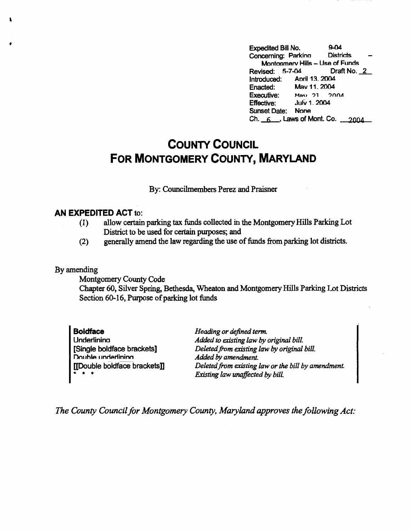Expedited Bill No. 9-04<br>Concerning: Parking Districts Concerning: Parkino Montoomerv Hills - Use of Funds<br>
ised: 5-7-04 Draft No. 2 Revised: 5-7-04 Introduced: Aoril 13. 2004<br>Enacted: May 11. 2004 Enacted: May 11, 2004<br>Executive: May 21, 20 **Max** 21 2004 Effective: Julv 1. 2004 Sunset Date: None  $Ch. 6.$ , Laws of Mont. Co.  $2004$ 

## **COUNTY COUNCIL FOR MONTGOMERY COUNTY, MARYLAND**

## By: Councilmembers Perez and Praisner

## **AN EXPEDITED ACT** to:

- (1) allow certain parking tax funds collected in the Montgomery Hills Parking Lot District to be used for certain purposes; and
- (2) generally amend the law regarding the use of funds from parking lot districts.

## By amending

'

**f** 

Montgomery County Code

Chapter 60, Silver Spring, Bethesda, Wheaton and Montgomery Hills Parking Lot Districts Section 60-16, Purpose of parking lot funds

**Boldface Underlinina** [Single boldface brackets] Double underlining [[Double boldface brackets]] \* \* •

*Heading or defined term. Added to existing law by original bill. Deleted from existing law by original bill. Added by amendment. Deleted from existing law or the bill by amendment. Existing law unaffected by bill.* 

*The County Council for Montgomery County, Maryland approves the following Act:*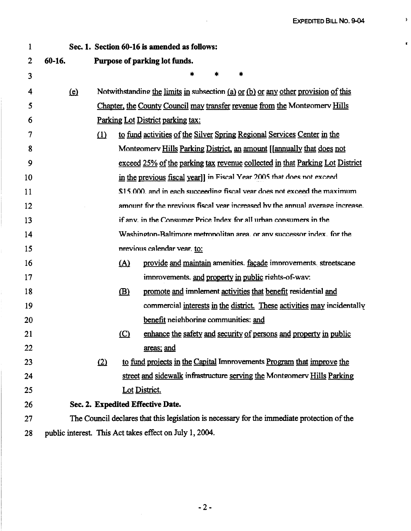$\lambda$ 

 $\mathbf{r}$ 

| 1  | Sec. 1. Section 60-16 is amended as follows:                                                |                                                                                    |            |                                                                               |
|----|---------------------------------------------------------------------------------------------|------------------------------------------------------------------------------------|------------|-------------------------------------------------------------------------------|
| 2  | 60-16.<br>Purpose of parking lot funds.                                                     |                                                                                    |            |                                                                               |
| 3  |                                                                                             |                                                                                    |            | $\ast$<br>*<br>*                                                              |
| 4  | (e)                                                                                         | Notwithstanding the limits in subsection (a) or (b) or any other provision of this |            |                                                                               |
| 5  |                                                                                             | Chapter, the County Council may transfer revenue from the Montgomery Hills         |            |                                                                               |
| 6  |                                                                                             | Parking Lot District parking tax:                                                  |            |                                                                               |
| 7  |                                                                                             | (1)                                                                                |            | to fund activities of the Silver Spring Regional Services Center in the       |
| 8  |                                                                                             |                                                                                    |            | Montgomery Hills Parking District, an amount [[annually that does not         |
| 9  |                                                                                             |                                                                                    |            | exceed 25% of the parking tax revenue collected in that Parking Lot District  |
| 10 |                                                                                             | in the previous fiscal year]] in Fiscal Year 2005 that does not exceed             |            |                                                                               |
| 11 |                                                                                             |                                                                                    |            | \$15,000, and in each succeeding fiscal year does not exceed the maximum      |
| 12 |                                                                                             |                                                                                    |            | amount for the previous fiscal vear increased by the annual average increase. |
| 13 |                                                                                             |                                                                                    |            | if any, in the Consumer Price Index for all urban consumers in the            |
| 14 |                                                                                             |                                                                                    |            | Washington-Baltimore metronolitan area, or any successor index, for the       |
| 15 |                                                                                             |                                                                                    |            | previous calendar vear. to:                                                   |
| 16 |                                                                                             |                                                                                    | <u>(A)</u> | provide and maintain amenities. facade improvements. streetscape              |
| 17 |                                                                                             |                                                                                    |            | improvements. and property in public rights-of-wav:                           |
| 18 |                                                                                             |                                                                                    | (B)        | promote and implement activities that benefit residential and                 |
| 19 |                                                                                             |                                                                                    |            | commercial interests in the district. These activities may incidentally       |
| 20 |                                                                                             |                                                                                    |            | benefit neighboring communities: and                                          |
| 21 |                                                                                             |                                                                                    | $\circ$    | enhance the safety and security of persons and property in public             |
| 22 |                                                                                             |                                                                                    |            | areas; and                                                                    |
| 23 |                                                                                             | (2)                                                                                |            | to fund projects in the Capital Improvements Program that improve the         |
| 24 |                                                                                             |                                                                                    |            | street and sidewalk infrastructure serving the Montgomery Hills Parking       |
| 25 |                                                                                             |                                                                                    |            | Lot District.                                                                 |
| 26 | Sec. 2. Expedited Effective Date.                                                           |                                                                                    |            |                                                                               |
| 27 | The Council declares that this legislation is necessary for the immediate protection of the |                                                                                    |            |                                                                               |
| 28 | public interest. This Act takes effect on July 1, 2004.                                     |                                                                                    |            |                                                                               |

 $\overline{a}$